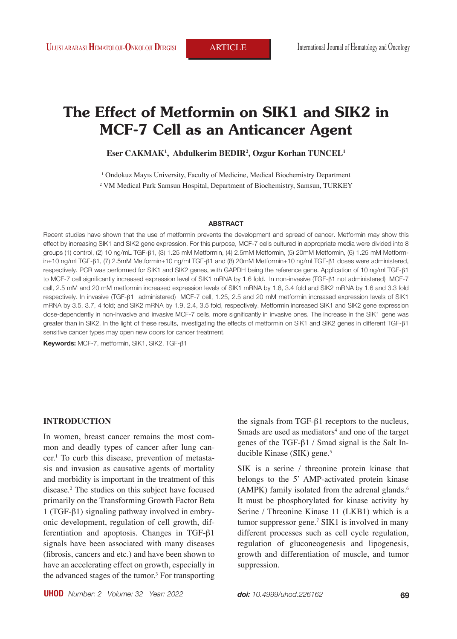# **The Effect of Metformin on SIK1 and SIK2 in MCF-7 Cell as an Anticancer Agent**

#### **Eser CAKMAK1 , Abdulkerim BEDIR2 , Ozgur Korhan TUNCEL1**

<sup>1</sup> Ondokuz Mayıs University, Faculty of Medicine, Medical Biochemistry Department

2 VM Medical Park Samsun Hospital, Department of Biochemistry, Samsun, TURKEY

#### **ABSTRACT**

Recent studies have shown that the use of metformin prevents the development and spread of cancer. Metformin may show this effect by increasing SIK1 and SIK2 gene expression. For this purpose, MCF-7 cells cultured in appropriate media were divided into 8 groups (1) control, (2) 10 ng/mL TGF-β1, (3) 1.25 mM Metformin, (4) 2.5mM Metformin, (5) 20mM Metformin, (6) 1.25 mM Metformin+10 ng/ml TGF-β1, (7) 2.5mM Metformin+10 ng/ml TGF-β1 and (8) 20mM Metformin+10 ng/ml TGF-β1 doses were administered, respectively. PCR was performed for SIK1 and SIK2 genes, with GAPDH being the reference gene. Application of 10 ng/ml TGF-β1 to MCF-7 cell significantly increased expression level of SIK1 mRNA by 1.6 fold. In non-invasive (TGF-β1 not administered) MCF-7 cell, 2.5 mM and 20 mM metformin increased expression levels of SIK1 mRNA by 1.8, 3.4 fold and SIK2 mRNA by 1.6 and 3.3 fold respectively. In invasive (TGF-β1 administered) MCF-7 cell, 1.25, 2.5 and 20 mM metformin increased expression levels of SIK1 mRNA by 3.5, 3.7, 4 fold; and SIK2 mRNA by 1.9, 2.4, 3.5 fold, respectively. Metformin increased SIK1 and SIK2 gene expression dose-dependently in non-invasive and invasive MCF-7 cells, more significantly in invasive ones. The increase in the SIK1 gene was greater than in SIK2. In the light of these results, investigating the effects of metformin on SIK1 and SIK2 genes in different TGF-β1 sensitive cancer types may open new doors for cancer treatment.

**Keywords:** MCF-7, metformin, SIK1, SIK2, TGF-β1

## **INTRODUCTION**

In women, breast cancer remains the most common and deadly types of cancer after lung cancer.<sup>1</sup> To curb this disease, prevention of metastasis and invasion as causative agents of mortality and morbidity is important in the treatment of this disease.<sup>2</sup> The studies on this subject have focused primarily on the Transforming Growth Factor Beta 1 (TGF-β1) signaling pathway involved in embryonic development, regulation of cell growth, differentiation and apoptosis. Changes in TGF-β1 signals have been associated with many diseases (fibrosis, cancers and etc.) and have been shown to have an accelerating effect on growth, especially in the advanced stages of the tumor.<sup>3</sup> For transporting the signals from TGF-β1 receptors to the nucleus, Smads are used as mediators<sup>4</sup> and one of the target genes of the TGF-β1 / Smad signal is the Salt Inducible Kinase  $(SIK)$  gene.<sup>5</sup>

SIK is a serine / threonine protein kinase that belongs to the 5' AMP-activated protein kinase (AMPK) family isolated from the adrenal glands.<sup>6</sup> It must be phosphorylated for kinase activity by Serine / Threonine Kinase 11 (LKB1) which is a tumor suppressor gene.<sup>7</sup> SIK1 is involved in many different processes such as cell cycle regulation, regulation of gluconeogenesis and lipogenesis, growth and differentiation of muscle, and tumor suppression.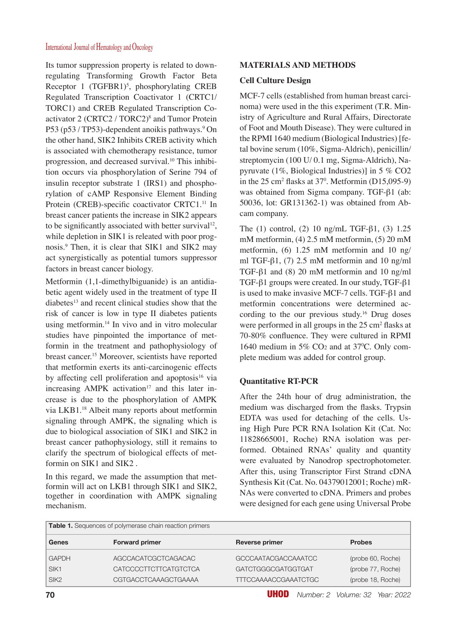Its tumor suppression property is related to downregulating Transforming Growth Factor Beta Receptor 1 (TGFBR1)<sup>5</sup>, phosphorylating CREB Regulated Transcription Coactivator 1 (CRTC1/ TORC1) and CREB Regulated Transcription Coactivator 2 (CRTC2 / TORC2)<sup>8</sup> and Tumor Protein P53 (p53 / TP53)-dependent anoikis pathways.<sup>9</sup> On the other hand, SIK2 Inhibits CREB activity which is associated with chemotherapy resistance, tumor progression, and decreased survival.10 This inhibition occurs via phosphorylation of Serine 794 of insulin receptor substrate 1 (IRS1) and phosphorylation of cAMP Responsive Element Binding Protein (CREB)-specific coactivator CRTC1.<sup>11</sup> In breast cancer patients the increase in SIK2 appears to be significantly associated with better survival<sup>12</sup>, while depletion in SIK1 is releated with poor prognosis.<sup>9</sup> Then, it is clear that SIK1 and SIK2 may act synergistically as potential tumors suppressor factors in breast cancer biology.

Metformin (1,1-dimethylbiguanide) is an antidiabetic agent widely used in the treatment of type II diabetes<sup>13</sup> and recent clinical studies show that the risk of cancer is low in type II diabetes patients using metformin.<sup>14</sup> In vivo and in vitro molecular studies have pinpointed the importance of metformin in the treatment and pathophysiology of breast cancer.<sup>15</sup> Moreover, scientists have reported that metformin exerts its anti-carcinogenic effects by affecting cell proliferation and apoptosis<sup>16</sup> via increasing AMPK activation<sup>17</sup> and this later increase is due to the phosphorylation of AMPK via LKB1.<sup>18</sup> Albeit many reports about metformin signaling through AMPK, the signaling which is due to biological association of SIK1 and SIK2 in breast cancer pathophysiology, still it remains to clarify the spectrum of biological effects of metformin on SIK1 and SIK2 .

In this regard, we made the assumption that metformin will act on LKB1 through SIK1 and SIK2, together in coordination with AMPK signaling mechanism.

# **MATERIALS AND METHODS**

## **Cell Culture Design**

MCF-7 cells (established from human breast carcinoma) were used in the this experiment (T.R. Ministry of Agriculture and Rural Affairs, Directorate of Foot and Mouth Disease). They were cultured in the RPMI 1640 medium (Biological Industries) [fetal bovine serum (10%, Sigma-Aldrich), penicillin/ streptomycin (100 U/ 0.1 mg, Sigma-Aldrich), Napyruvate (1%, Biological Industries)] in 5 % CO2 in the  $25 \text{ cm}^2$  flasks at  $37^\circ$ . Metformin (D15,095-9) was obtained from Sigma company. TGF-β1 (ab: 50036, lot: GR131362-1) was obtained from Abcam company.

The (1) control, (2) 10 ng/mL TGF-β1, (3) 1.25 mM metformin, (4) 2.5 mM metformin, (5) 20 mM metformin, (6) 1.25 mM metformin and 10 ng/ ml TGF- $\beta$ 1, (7) 2.5 mM metformin and 10 ng/ml TGF-β1 and (8) 20 mM metformin and 10 ng/ml TGF-β1 groups were created. In our study, TGF-β1 is used to make invasive MCF-7 cells. TGF-β1 and metformin concentrations were determined according to the our previous study.<sup>16</sup> Drug doses were performed in all groups in the  $25 \text{ cm}^2$  flasks at 70-80% confluence. They were cultured in RPMI 1640 medium in  $5\%$  CO<sub>2</sub> and at  $37^{\circ}$ C. Only complete medium was added for control group.

# **Quantitative RT-PCR**

After the 24th hour of drug administration, the medium was discharged from the flasks. Trypsin EDTA was used for detaching of the cells. Using High Pure PCR RNA Isolation Kit (Cat. No: 11828665001, Roche) RNA isolation was performed. Obtained RNAs' quality and quantity were evaluated by Nanodrop spectrophotometer. After this, using Transcriptor First Strand cDNA Synthesis Kit (Cat. No. 04379012001; Roche) mR-NAs were converted to cDNA. Primers and probes were designed for each gene using Universal Probe

| <b>Table 1.</b> Sequences of polymerase chain reaction primers |                       |                             |                   |
|----------------------------------------------------------------|-----------------------|-----------------------------|-------------------|
| Genes                                                          | <b>Forward primer</b> | <b>Reverse primer</b>       | <b>Probes</b>     |
| <b>GAPDH</b>                                                   | AGCCACATCGCTCAGACAC   | GCCCAATACGACCAAATCC         | (probe 60, Roche) |
| SIK1                                                           | CATCCCCTTCTTCATGTCTCA | GATCTGGGCGATGGTGAT          | (probe 77, Roche) |
| SIK <sub>2</sub>                                               | CGTGACCTCAAAGCTGAAAA  | <b>TTTCCAAAACCGAAATCTGC</b> | (probe 18, Roche) |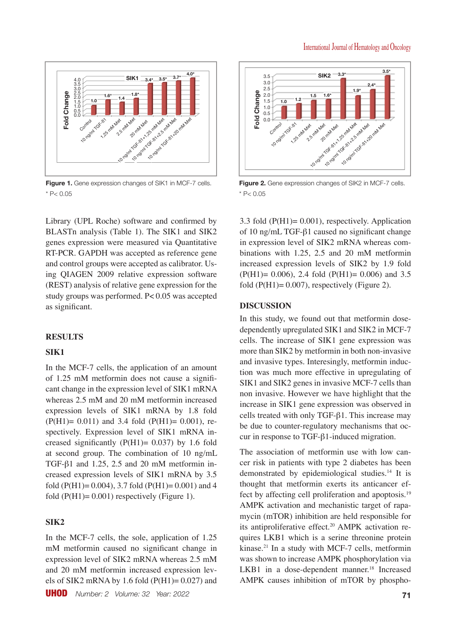

**Figure 1.** Gene expression changes of SIK1 in MCF-7 cells.  $*$  P< 0.05

Library (UPL Roche) software and confirmed by BLASTn analysis (Table 1). The SIK1 and SIK2 genes expression were measured via Quantitative RT-PCR. GAPDH was accepted as reference gene and control groups were accepted as calibrator. Using QIAGEN 2009 relative expression software (REST) analysis of relative gene expression for the study groups was performed. P< 0.05 was accepted as significant.

## **RESULTS**

### **SIK1**

In the MCF-7 cells, the application of an amount of 1.25 mM metformin does not cause a significant change in the expression level of SIK1 mRNA whereas 2.5 mM and 20 mM metformin increased expression levels of SIK1 mRNA by 1.8 fold  $(P(H1)= 0.011)$  and 3.4 fold  $(P(H1)= 0.001)$ , respectively. Expression level of SIK1 mRNA increased significantly  $(P(H1)= 0.037)$  by 1.6 fold at second group. The combination of 10 ng/mL TGF-β1 and 1.25, 2.5 and 20 mM metformin increased expression levels of SIK1 mRNA by 3.5 fold (P(H1)= 0.004), 3.7 fold (P(H1)= 0.001) and 4 fold  $(P(H1)= 0.001)$  respectively (Figure 1).

## **SIK2**

In the MCF-7 cells, the sole, application of 1.25 mM metformin caused no significant change in expression level of SIK2 mRNA whereas 2.5 mM and 20 mM metformin increased expression levels of SIK2 mRNA by 1.6 fold  $(P(H1)= 0.027)$  and

UHOD *Number: 2 Volume: 32 Year: 2022* **71**



**Figure 2.** Gene expression changes of SIK2 in MCF-7 cells.  $*$  P< 0.05

3.3 fold (P(H1)= 0.001), respectively. Application of 10 ng/mL TGF-β1 caused no significant change in expression level of SIK2 mRNA whereas combinations with 1.25, 2.5 and 20 mM metformin increased expression levels of SIK2 by 1.9 fold  $(P(H1)= 0.006)$ , 2.4 fold  $(P(H1)= 0.006)$  and 3.5 fold  $(P(H1)= 0.007)$ , respectively (Figure 2).

### **DISCUSSION**

In this study, we found out that metformin dosedependently upregulated SIK1 and SIK2 in MCF-7 cells. The increase of SIK1 gene expression was more than SIK2 by metformin in both non-invasive and invasive types. Interesingly, metformin induction was much more effective in upregulating of SIK1 and SIK2 genes in invasive MCF-7 cells than non invasive. However we have highlight that the increase in SIK1 gene expression was observed in cells treated with only TGF-β1. This increase may be due to counter-regulatory mechanisms that occur in response to TGF-β1-induced migration.

The association of metformin use with low cancer risk in patients with type 2 diabetes has been demonstrated by epidemiological studies.<sup>14</sup> It is thought that metformin exerts its anticancer effect by affecting cell proliferation and apoptosis.<sup>19</sup> AMPK activation and mechanistic target of rapamycin (mTOR) inhibition are held responsible for its antiproliferative effect.<sup>20</sup> AMPK activation requires LKB1 which is a serine threonine protein kinase.<sup>21</sup> In a study with MCF-7 cells, metformin was shown to increase AMPK phosphorylation via LKB1 in a dose-dependent manner. $18$  Increased AMPK causes inhibition of mTOR by phospho-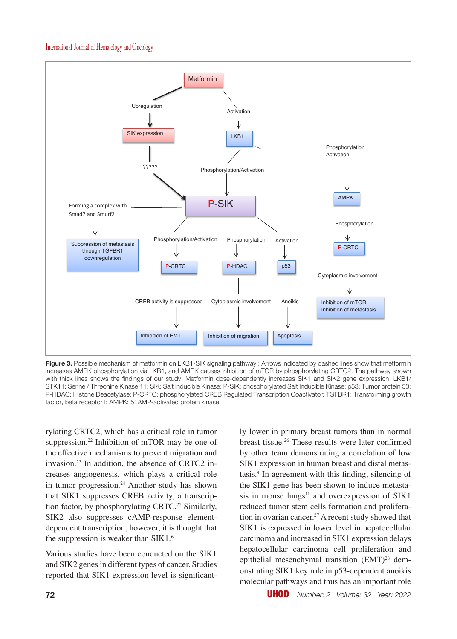

**Figure 3.** Possible mechanism of metformin on LKB1-SIK signaling pathway ; Arrows indicated by dashed lines show that metformin increases AMPK phosphorylation via LKB1, and AMPK causes inhibition of mTOR by phosphorylating CRTC2. The pathway shown with thick lines shows the findings of our study. Metformin dose-dependently increases SIK1 and SIK2 gene expression. LKB1/ STK11: Serine / Threonine Kinase 11; SIK: Salt Inducible Kinase; P-SIK: phosphorylated Salt Inducible Kinase; p53: Tumor protein 53; P-HDAC: Histone Deacetylase; P-CRTC: phosphorylated CREB Regulated Transcription Coactivator; TGFBR1: Transforming growth factor, beta receptor I; AMPK: 5' AMP-activated protein kinase.

rylating CRTC2, which has a critical role in tumor suppression.<sup>22</sup> Inhibition of mTOR may be one of the effective mechanisms to prevent migration and invasion.23 In addition, the absence of CRTC2 increases angiogenesis, which plays a critical role in tumor progression.<sup>24</sup> Another study has shown that SIK1 suppresses CREB activity, a transcription factor, by phosphorylating CRTC.<sup>25</sup> Similarly, SIK2 also suppresses cAMP-response elementdependent transcription; however, it is thought that the suppression is weaker than SIK1.<sup>6</sup>

Various studies have been conducted on the SIK1 and SIK2 genes in different types of cancer. Studies reported that SIK1 expression level is significantly lower in primary breast tumors than in normal breast tissue.<sup>26</sup> These results were later confirmed by other team demonstrating a correlation of low SIK1 expression in human breast and distal metastasis.<sup>9</sup> In agreement with this finding, silencing of the SIK1 gene has been shown to induce metastasis in mouse  $\text{lungs}^{11}$  and overexpression of SIK1 reduced tumor stem cells formation and proliferation in ovarian cancer.<sup>27</sup> A recent study showed that SIK1 is expressed in lower level in hepatocellular carcinoma and increased in SIK1 expression delays hepatocellular carcinoma cell proliferation and epithelial mesenchymal transition (EMT)<sup>28</sup> demonstrating SIK1 key role in p53-dependent anoikis molecular pathways and thus has an important role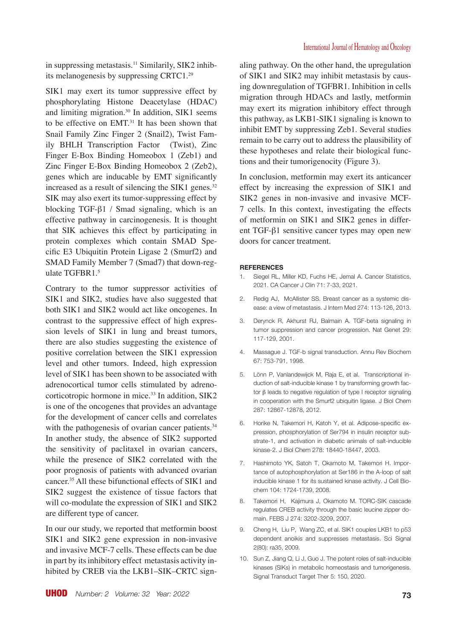in suppressing metastasis.<sup>11</sup> Similarily, SIK2 inhibits melanogenesis by suppressing CRTC1.<sup>29</sup>

SIK1 may exert its tumor suppressive effect by phosphorylating Histone Deacetylase (HDAC) and limiting migration.<sup>30</sup> In addition, SIK1 seems to be effective on EMT.<sup>31</sup> It has been shown that Snail Family Zinc Finger 2 (Snail2), Twist Family BHLH Transcription Factor (Twist), Zinc Finger E-Box Binding Homeobox 1 (Zeb1) and Zinc Finger E-Box Binding Homeobox 2 (Zeb2), genes which are inducable by EMT significantly increased as a result of silencing the SIK1 genes. $32$ SIK may also exert its tumor-suppressing effect by blocking TGF-β1 / Smad signaling, which is an effective pathway in carcinogenesis. It is thought that SIK achieves this effect by participating in protein complexes which contain SMAD Specific E3 Ubiquitin Protein Ligase 2 (Smurf2) and SMAD Family Member 7 (Smad7) that down-regulate TGFBR1.<sup>5</sup>

Contrary to the tumor suppressor activities of SIK1 and SIK2, studies have also suggested that both SIK1 and SIK2 would act like oncogenes. In contrast to the suppressive effect of high expression levels of SIK1 in lung and breast tumors, there are also studies suggesting the existence of positive correlation between the SIK1 expression level and other tumors. Indeed, high expression level of SIK1 has been shown to be associated with adrenocortical tumor cells stimulated by adrenocorticotropic hormone in mice.<sup>33</sup> In addition, SIK2 is one of the oncogenes that provides an advantage for the development of cancer cells and correlates with the pathogenesis of ovarian cancer patients.<sup>34</sup> In another study, the absence of SIK2 supported the sensitivity of paclitaxel in ovarian cancers, while the presence of SIK2 correlated with the poor prognosis of patients with advanced ovarian cancer.<sup>35</sup> All these bifunctional effects of SIK1 and SIK2 suggest the existence of tissue factors that will co-modulate the expression of SIK1 and SIK2 are different type of cancer.

In our our study, we reported that metformin boost SIK1 and SIK2 gene expression in non-invasive and invasive MCF-7 cells. These effects can be due in part by its inhibitory effect metastasis activity inhibited by CREB via the LKB1–SIK–CRTC signaling pathway. On the other hand, the upregulation of SIK1 and SIK2 may inhibit metastasis by causing downregulation of TGFBR1. Inhibition in cells migration through HDACs and lastly, metformin may exert its migration inhibitory effect through this pathway, as LKB1-SIK1 signaling is known to inhibit EMT by suppressing Zeb1. Several studies remain to be carry out to address the plausibility of these hypotheses and relate their biological functions and their tumorigenocity (Figure 3).

In conclusion, metformin may exert its anticancer effect by increasing the expression of SIK1 and SIK2 genes in non-invasive and invasive MCF-7 cells. In this context, investigating the effects of metformin on SIK1 and SIK2 genes in different TGF-β1 sensitive cancer types may open new doors for cancer treatment.

#### **REFERENCES**

- 1. Siegel RL, Miller KD, Fuchs HE, Jemal A. Cancer Statistics, 2021. CA Cancer J Clin 71: 7-33, 2021.
- 2. Redig AJ, McAllister SS. Breast cancer as a systemic disease: a view of metastasis. J Intern Med 274: 113-126, 2013.
- 3. Derynck R, Akhurst RJ, Balmain A. TGF-beta signaling in tumor suppression and cancer progression. Nat Genet 29: 117-129, 2001.
- 4. Massague J. TGF-b signal transduction. Annu Rev Biochem 67: 753-791, 1998.
- 5. Lönn P, Vanlandewijck M, Raja E, et al. Transcriptional induction of salt-inducible kinase 1 by transforming growth factor β leads to negative regulation of type I receptor signaling in cooperation with the Smurf2 ubiquitin ligase. J Biol Chem 287: 12867-12878, 2012.
- 6. Horike N, Takemori H, Katoh Y, et al. Adipose-specific expression, phosphorylation of Ser794 in insulin receptor substrate-1, and activation in diabetic animals of salt-inducible kinase-2. J Biol Chem 278: 18440-18447, 2003.
- 7. Hashimoto YK, Satoh T, Okamoto M, Takemori H. Importance of autophosphorylation at Ser186 in the A-loop of salt inducible kinase 1 for its sustained kinase activity. J Cell Biochem 104: 1724-1739, 2008.
- 8. Takemori H, Kajimura J, Okamoto M. TORC-SIK cascade regulates CREB activity through the basic leucine zipper domain. FEBS J 274: 3202-3209, 2007.
- 9. Cheng H, Liu P, Wang ZC, et al. SIK1 couples LKB1 to p53 dependent anoikis and suppresses metastasis. Sci Signal 2(80): ra35, 2009.
- 10. Sun Z, Jiang Q, Li J, Guo J. The potent roles of salt-inducible kinases (SIKs) in metabolic homeostasis and tumorigenesis. Signal Transduct Target Ther 5: 150, 2020.